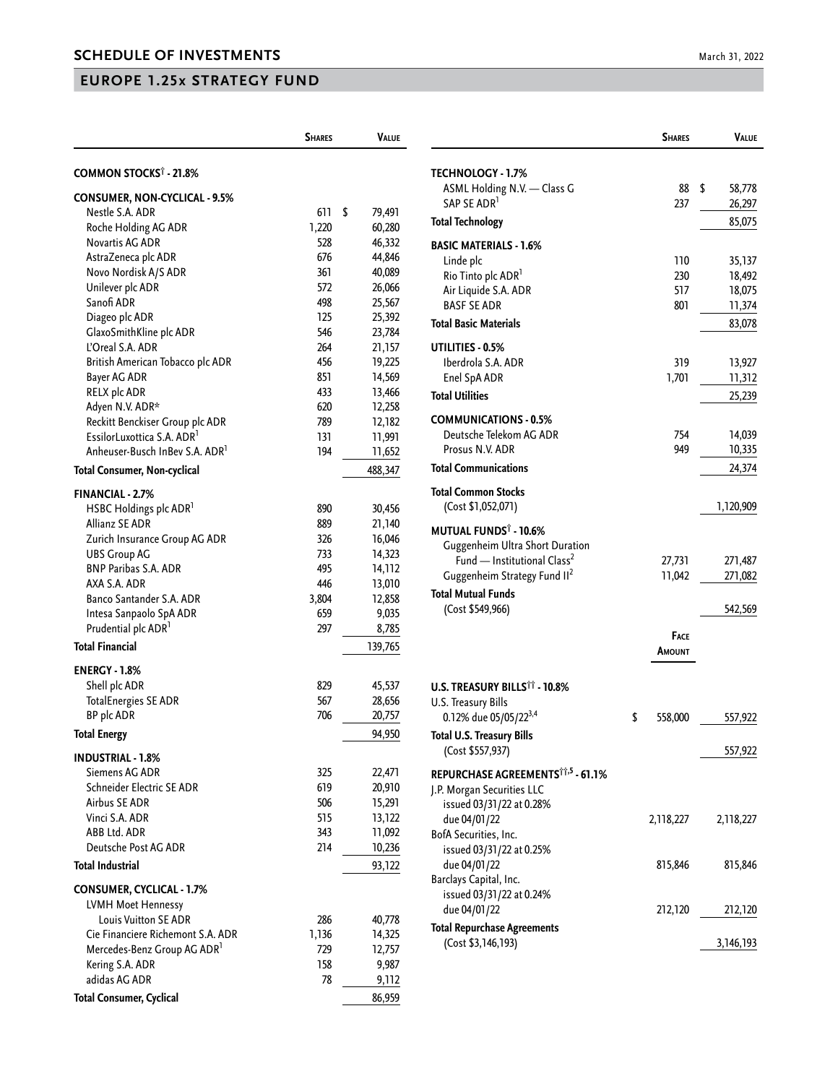## **EUROPE 1.25x STRATEGY FUND**

|                                             | <b>SHARES</b> | <b>VALUE</b>     |
|---------------------------------------------|---------------|------------------|
| <b>COMMON STOCKS<sup>†</sup> - 21.8%</b>    |               |                  |
|                                             |               |                  |
| <b>CONSUMER, NON-CYCLICAL - 9.5%</b>        |               |                  |
| Nestle S.A. ADR                             | 611           | \$<br>79,491     |
| Roche Holding AG ADR                        | 1,220         | 60,280           |
| Novartis AG ADR                             | 528           | 46,332           |
| AstraZeneca plc ADR<br>Novo Nordisk A/S ADR | 676<br>361    | 44,846<br>40,089 |
| Unilever plc ADR                            | 572           | 26,066           |
| Sanofi ADR                                  | 498           | 25,567           |
| Diageo plc ADR                              | 125           | 25,392           |
| GlaxoSmithKline plc ADR                     | 546           | 23,784           |
| L'Oreal S.A. ADR                            | 264           | 21,157           |
| British American Tobacco plc ADR            | 456           | 19,225           |
| Bayer AG ADR                                | 851           | 14,569           |
| RELX plc ADR                                | 433           | 13,466           |
| Adyen N.V. ADR*                             | 620           | 12,258           |
| Reckitt Benckiser Group plc ADR             | 789           | 12,182           |
| EssilorLuxottica S.A. ADR <sup>1</sup>      | 131           | 11,991           |
| Anheuser-Busch InBev S.A. ADR <sup>1</sup>  | 194           | 11,652           |
| <b>Total Consumer, Non-cyclical</b>         |               | 488,347          |
| <b>FINANCIAL - 2.7%</b>                     |               |                  |
| HSBC Holdings plc ADR <sup>1</sup>          | 890           | 30,456           |
| Allianz SE ADR                              | 889           | 21,140           |
| Zurich Insurance Group AG ADR               | 326           | 16,046           |
| <b>UBS Group AG</b>                         | 733           | 14,323           |
| <b>BNP Paribas S.A. ADR</b>                 | 495           | 14,112           |
| AXA S.A. ADR                                | 446           | 13,010           |
| Banco Santander S.A. ADR                    | 3,804         | 12,858           |
| Intesa Sanpaolo SpA ADR                     | 659           | 9,035            |
| Prudential plc ADR <sup>1</sup>             | 297           | 8,785            |
| <b>Total Financial</b>                      |               | 139,765          |
| <b>ENERGY - 1.8%</b>                        |               |                  |
| Shell plc ADR                               | 829           | 45,537           |
| <b>TotalEnergies SE ADR</b>                 | 567           | 28,656           |
| BP plc ADR                                  | 706           | 20,757           |
| <b>Total Energy</b>                         |               | 94,950           |
| <b>INDUSTRIAL - 1.8%</b>                    |               |                  |
| Siemens AG ADR                              | 325           | 22,471           |
| Schneider Electric SE ADR                   | 619           | 20,910           |
| <b>Airbus SE ADR</b>                        | 506           | 15,291           |
| Vinci S.A. ADR                              | 515           | 13,122           |
| ABB Ltd. ADR                                | 343           | 11,092           |
| Deutsche Post AG ADR                        | 214           | 10,236           |
| <b>Total Industrial</b>                     |               | 93,122           |
| <b>CONSUMER, CYCLICAL - 1.7%</b>            |               |                  |
| <b>LVMH Moet Hennessy</b>                   |               |                  |
| <b>Louis Vuitton SE ADR</b>                 | 286           | 40,778           |
| Cie Financiere Richemont S.A. ADR           | 1,136         | 14,325           |
| Mercedes-Benz Group AG ADR <sup>1</sup>     | 729           | 12,757           |
| Kering S.A. ADR                             | 158           | 9,987            |
| adidas AG ADR                               | 78            | 9,112            |
| <b>Total Consumer, Cyclical</b>             |               | 86,959           |

|                                                         | <b>SHARES</b> | Value            |
|---------------------------------------------------------|---------------|------------------|
| <b>TECHNOLOGY - 1.7%</b>                                |               |                  |
| ASML Holding N.V. - Class G                             | 88            | \$<br>58,778     |
| SAP SE ADR <sup>1</sup>                                 | 237           | 26,297           |
| <b>Total Technology</b>                                 |               | 85,075           |
| <b>BASIC MATERIALS - 1.6%</b>                           |               |                  |
| Linde plc                                               | 110           | 35,137           |
| Rio Tinto plc ADR <sup>1</sup>                          | 230           | 18,492           |
| Air Liquide S.A. ADR<br><b>BASE SE ADR</b>              | 517           | 18,075           |
| <b>Total Basic Materials</b>                            | 801           | 11,374           |
|                                                         |               | 83,078           |
| UTILITIES - 0.5%<br>Iberdrola S.A. ADR                  | 319           |                  |
| Enel SpA ADR                                            | 1,701         | 13,927<br>11,312 |
| <b>Total Utilities</b>                                  |               | 25,239           |
|                                                         |               |                  |
| <b>COMMUNICATIONS - 0.5%</b><br>Deutsche Telekom AG ADR |               |                  |
| Prosus N.V. ADR                                         | 754<br>949    | 14,039<br>10,335 |
| <b>Total Communications</b>                             |               | 24,374           |
|                                                         |               |                  |
| <b>Total Common Stocks</b><br>(Cost \$1,052,071)        |               | 1,120,909        |
| <b>MUTUAL FUNDS<sup>†</sup> - 10.6%</b>                 |               |                  |
| Guggenheim Ultra Short Duration                         |               |                  |
| Fund - Institutional Class <sup>2</sup>                 | 27,731        | 271,487          |
| Guggenheim Strategy Fund II <sup>2</sup>                | 11,042        | 271,082          |
| Total Mutual Funds                                      |               |                  |
| (Cost \$549,966)                                        |               | 542,569          |
|                                                         | Face          |                  |
|                                                         | Amount        |                  |
| <b>U.S. TREASURY BILLS<sup>††</sup> - 10.8%</b>         |               |                  |
| U.S. Treasury Bills                                     |               |                  |
| 0.12% due 05/05/22 <sup>3,4</sup>                       | \$<br>558,000 | 557,922          |
| <b>Total U.S. Treasury Bills</b>                        |               |                  |
| (Cost \$557,937)                                        |               | 557,922          |
| REPURCHASE AGREEMENTS <sup>11,5</sup> - 61.1%           |               |                  |
| J.P. Morgan Securities LLC                              |               |                  |
| issued 03/31/22 at 0.28%                                |               |                  |
| due 04/01/22<br>BofA Securities, Inc.                   | 2,118,227     | 2,118,227        |
| issued 03/31/22 at 0.25%                                |               |                  |
| due 04/01/22                                            | 815,846       | 815,846          |
| Barclays Capital, Inc.                                  |               |                  |
| issued 03/31/22 at 0.24%                                |               |                  |
| due 04/01/22                                            | 212,120       | 212,120          |
| <b>Total Repurchase Agreements</b>                      |               |                  |
| (Cost \$3,146,193)                                      |               | 3, 146, 193      |